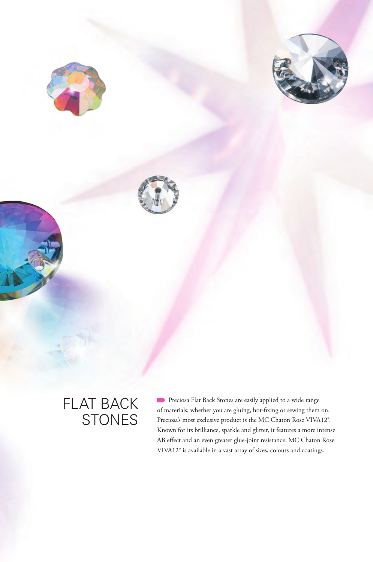





# FLAT BACK **STONES**

**Preciosa Flat Back Stones are easily applied to a wide range** of materials; whether you are gluing, hot-fixing or sewing them on. Preciosa's most exclusive product is the MC Chaton Rose VIVA12®. Known for its brilliance, sparkle and glitter, it features a more intense AB effect and an even greater glue-joint resistance. MC Chaton Rose VIVA12® is available in a vast array of sizes, colours and coatings.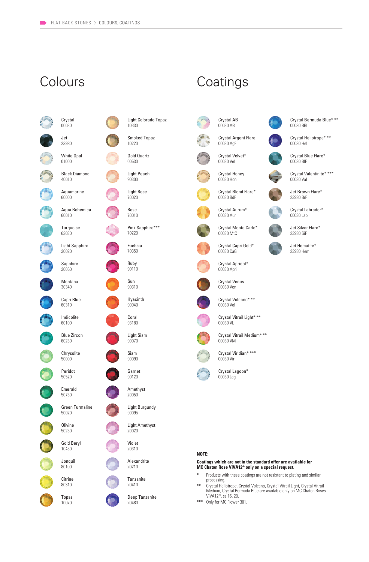

Light Colorado Topaz 10330 Smoked Topaz 10220



Light Peach 90300



Rose 70010

Pink Sapphire\*\*\* 70220

Fuchsia 70350

Ruby 90110



Hyacinth 90040

Coral 93180

Light Siam 90070





Amethyst 20050

Light Burgundy 90095

Light Amethyst 20020



Alexandrite 20210

**Tanzanite** 20410

Deep Tanzanite 20480





Crystal Honey 00030 Hon

Crystal Blond Flare\* 00030 BdF



Crystal Monte Carlo\*  $00030$  MtC

Crystal Capri Gold\* 00030 CaG

Crystal Apricot\* 00030 Apri



Crystal Venus 00030 Ven



Crystal Volcano\* \*\* 00030 Vol



Crystal Vitrail Light\* \*\*



Crystal Vitrail Medium\* \*\* 00030 VM



Crystal Viridian\* \*\*\* 00030 Vir



Crystal Lagoon\* 00030 Lag

#### **NOTE:**

**Coatings which are not in the standard offer are available for MC Chaton Rose VIVA12® only on a special request.**

- **\*** Products with these coatings are not resistant to plating and similar processing.
- **\*\*** Crystal Heliotrope, Crystal Volcano, Crystal Vitrail Light, Crystal Vitrail Medium, Crystal Bermuda Blue are available only on MC Chaton Roses VIVA12®, ss 16, 20.
- **\*\*\*** Only for MC Flower 301.



Crystal Heliotrope\* \*\* 00030 Hel

Crystal Blue Flare\* 00030 BlF

Crystal Valentinite\* \*\*\* 00030 Val

Jet Brown Flare\* 23980 BrF

Crystal Labrador\* 00030 Lab

Jet Silver Flare\* 23980 SiF

Jet Hematite\* 23980 Hem







# 00030 VI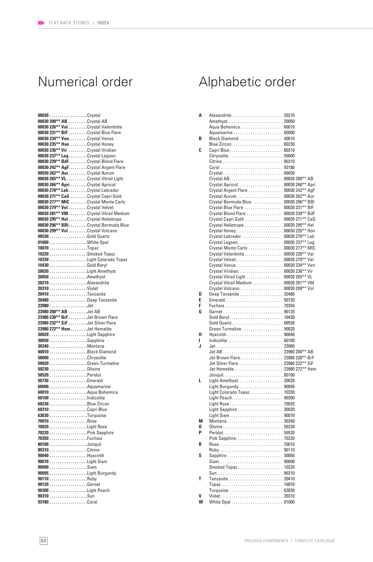| 00030Crystal                                                              |  |
|---------------------------------------------------------------------------|--|
| 00030 200** AB Crystal AB                                                 |  |
| 00030 226** Val Crystal Valentinite                                       |  |
| 00030 231** BIF Crystal Blue Flare                                        |  |
| 00030 234** Ven. Crystal Venus                                            |  |
| 00030 235** Hon Crystal Honey                                             |  |
| 00030 236** Vir Crystal Viridian                                          |  |
| 00030 237** LagCrystal Lagoon                                             |  |
| 00030 239** BdF. Crystal Blond Flare                                      |  |
| 00030 242** AgF. Crystal Argent Flare                                     |  |
| 00030 262** Aur. Crystal Aurum                                            |  |
| 00030 265** VL. Crystal Vitrail Light                                     |  |
| 00030 266** Apri Crystal Apricot                                          |  |
| 00030 270** Lab. Crystal Labrador                                         |  |
| 00030 271** CaG Crystal Capri Gold<br>00030 277** MtC Crystal Monte Carlo |  |
| 00030 279** Vel Crystal Velvet                                            |  |
| 00030 281** VM Crystal Vitrail Medium                                     |  |
| 00030 295** HelCrystal Heliotrope                                         |  |
| 00030 296** BBI. Crystal Bermuda Blue                                     |  |
| 00030 299** Vol Crystal Volcano                                           |  |
| 00530 Gold Quartz                                                         |  |
|                                                                           |  |
| 10070Topaz                                                                |  |
|                                                                           |  |
|                                                                           |  |
| 10430Gold Beryl                                                           |  |
|                                                                           |  |
| 20050Amethyst                                                             |  |
| 20210 Alexandrite                                                         |  |
| 20310 Violet                                                              |  |
| 20410 Tanzanite                                                           |  |
| 20480Deep Tanzanite                                                       |  |
| 23980Jet                                                                  |  |
|                                                                           |  |
| 23980 200** AB Jet AB                                                     |  |
| 23980 230** BrFJet Brown Flare                                            |  |
| 23980 232** SiF Jet Silver Flare                                          |  |
| 23980 272** Hem Jet Hematite                                              |  |
|                                                                           |  |
| 30050Sapphire                                                             |  |
| 30340Montana                                                              |  |
|                                                                           |  |
| 50000Chrysolite                                                           |  |
|                                                                           |  |
|                                                                           |  |
| 50520Peridot                                                              |  |
| 50730Emerald                                                              |  |
| 60000Aquamarine                                                           |  |
|                                                                           |  |
| 60100Indicolite                                                           |  |
| 60230Blue Zircon                                                          |  |
| 60310 Capri Blue<br>63030Turquoise                                        |  |
| 70010Rose                                                                 |  |
|                                                                           |  |
|                                                                           |  |
| 70350Fuchsia                                                              |  |
| 80100Jonquil                                                              |  |
| 80310 Citrine                                                             |  |
| 90040Hyacinth                                                             |  |
| 90070Light Siam                                                           |  |
| 90090Siam                                                                 |  |
| 90095Light Burgundy                                                       |  |
| 90110Ruby                                                                 |  |
| 90120Garnet                                                               |  |
| 90300Light Peach                                                          |  |
| 90310Sun<br>93180Coral                                                    |  |

## Numerical order Alphabetic order

| Α |                                       |       |
|---|---------------------------------------|-------|
|   |                                       |       |
|   |                                       |       |
|   |                                       |       |
| В |                                       |       |
|   |                                       |       |
| C |                                       |       |
|   | Chrysolite  50000                     |       |
|   |                                       |       |
|   | Coral  93180                          |       |
|   | Crystal 00030                         |       |
|   |                                       |       |
|   |                                       |       |
|   | Crystal Argent Flare 00030 242** AgF  |       |
|   |                                       |       |
|   | Crystal Bermuda Blue 00030 296** BBI  |       |
|   |                                       |       |
|   | Crystal Blue Flare  00030 231** BIF   |       |
|   | Crystal Blond Flare  00030 239** BdF  |       |
|   | Crystal Capri Gold  00030 271** CaG   |       |
|   | Crystal Heliotrope 00030 295** Hel    |       |
|   | Crystal Honey 00030 235** Hon         |       |
|   | Crystal Labrador  00030 270** Lab     |       |
|   | Crystal Lagoon 00030 237** Lag        |       |
|   | Crystal Monte Carlo  00030 277** MtC  |       |
|   | Crystal Valentinite 00030 226** Val   |       |
|   | Crystal Velvet 00030 279** Vel        |       |
|   | Crystal Venus 00030 234** Ven         |       |
|   |                                       |       |
|   | Crystal Vitrail Light  00030 265** VL |       |
|   | Crystal Vitrail Medium 00030 281** VM |       |
|   | Crystal Volcano 00030 299** Vol       |       |
| D | Deep Tanzanite  20480                 |       |
| Е | Emerald 50730                         |       |
| F |                                       |       |
| G | Garnet 90120                          |       |
|   | Gold Beryl 10430                      |       |
|   | Gold Quartz 00530                     |       |
|   | Green Turmaline  50020                |       |
| н |                                       |       |
| ı | Indicolite 60100                      |       |
| J |                                       |       |
|   |                                       |       |
|   | Jet Brown Flare 23980 230** BrF       |       |
|   | Jet Silver Flare 23980 232** SiF      |       |
|   |                                       |       |
|   |                                       |       |
| L | Light Amethyst 20020                  |       |
|   |                                       |       |
|   | Light Colorado Topaz 10330            |       |
|   | Light Peach 90300                     |       |
|   | Light Rose 70020                      |       |
|   | Light Sapphire                        | 30020 |
|   | Light Siam 90070                      |       |
| Μ |                                       |       |
| 0 |                                       |       |
| P | Peridot 50520                         |       |
|   | Pink Sapphire 70220                   |       |
| R |                                       |       |
|   |                                       |       |
| S |                                       |       |
|   | Sapphire  30050                       |       |
|   | Siam 90090                            |       |
|   | Smoked Topaz 10220                    |       |
|   |                                       |       |
| Т | Tanzanite  20410                      |       |
|   | Topaz 10070                           |       |
|   | Turquoise  63030                      |       |
| V |                                       |       |
| W | White Opal  01000                     |       |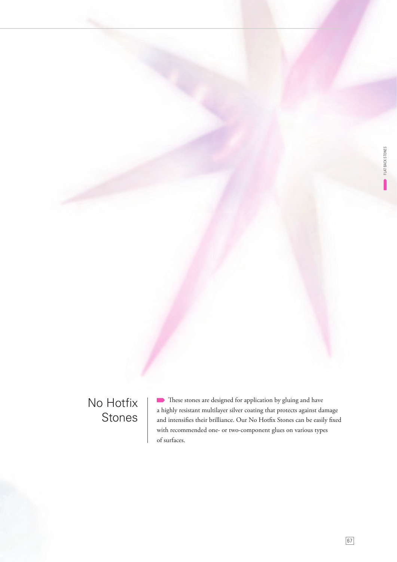### No Hotfix Stones

 $\blacksquare$  These stones are designed for application by gluing and have a highly resistant multilayer silver coating that protects against damage and intensifies their brilliance. Our No Hotfix Stones can be easily fixed with recommended one- or two-component glues on various types of surfaces.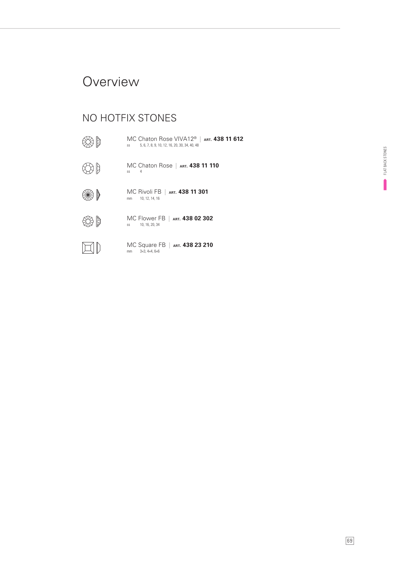### **Overview**

### NO HOTFIX STONES

第 MC Chaton Rose VIVA12® | **ART. 438 11 612** ss 5, 6, 7, 8, 9, 10, 12, 16, 20, 30, 34, 40, 48  $\bigoplus$ MC Chaton Rose | **ART. 438 11 110** ss 4 MC Rivoli FB | **ART. 438 11 301** ∰ mm 10, 12, 14, 16 \$ MC Flower FB | **ART. 438 02 302** ss 10, 16, 20, 34  $\square$ MC Square FB | **ART. 438 23 210** mm 3×3, 4×4, 6×6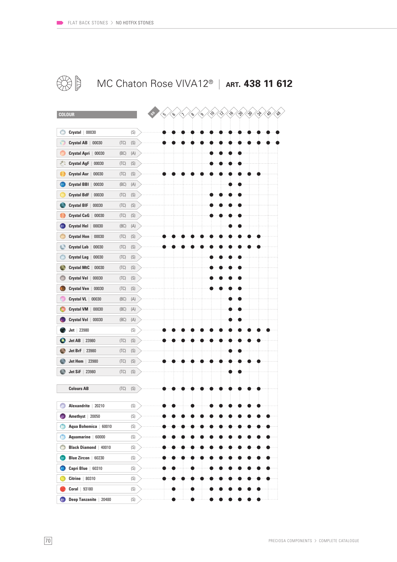

### MC Chaton Rose VIVA12® | **ART. 438 11 612**

| <b>COLOUR</b>                     |      |                          |
|-----------------------------------|------|--------------------------|
|                                   |      |                          |
| $Crystal$ $  00030$               |      | (S)                      |
| Ô<br>Crystal AB  <br>00030        | (TC) | $\left( \text{S}\right)$ |
| Crystal Apri  <br>00030           | (BC) | (A)                      |
| z.<br>Crystal AgF  <br>00030      | (TC) | (S)                      |
| <b>Crystal Aur</b><br>00030       | (TC) | (S)                      |
| <b>Crystal BBI</b><br>00030       | (BC) | (A)                      |
| <b>Crystal BdF</b><br>00030       | (TC) | $\left( \text{S}\right)$ |
| Crystal BIF<br>00030              | (TC) | (S)                      |
| Crystal CaG  <br>00030            | (TC) | (S)                      |
| Crystal Hel<br>00030              | (BC) | (A)                      |
| <b>Crystal Hon</b><br>00030       | (TC) | (S)                      |
| Ō<br>Crystal Lab<br>00030         | (TC) | $\left( \text{S}\right)$ |
| Ô<br>Crystal Lag  <br>00030       | (TC) | (S)                      |
| Crystal MtC  <br>00030            | (TC) | (S)                      |
| e<br>Crystal Vel  <br>00030       | (TC) | (S)                      |
| Crystal Ven<br>00030              | (TC) | (S)                      |
| Crystal VL   00030                | (BC) | (A)                      |
| Crystal VM  <br>00030             | (BC) | (A)                      |
| Crystal Vol   00030               | (BC) | (A)                      |
| $Jet$   23980                     |      | (S)                      |
| Jet AB<br>23980                   | (TC) | (S)                      |
| Jet BrF<br>23980<br>۰             | (TC) | $\left( \text{S}\right)$ |
| <b>Jet Hem</b>   23980            | (TC) | (S)                      |
| <b>Jet SiF</b>   23980            | (TC) | (S)                      |
|                                   |      |                          |
| <b>Colours AB</b>                 | (TC) | $\left( \text{S}\right)$ |
|                                   |      |                          |
| Alexandrite   20210               |      | (S)                      |
| Amethyst   20050                  |      | (S)                      |
| Aqua Bohemica   60010             |      | (S)                      |
| Ô<br>Aquamarine   60000           |      | (S)                      |
| O<br><b>Black Diamond</b>   40010 |      | (S)                      |
| Blue Zircon   60230               |      | (S)                      |
| Capri Blue   60310                |      | (S)                      |
| $Citrine$   80310                 |      | (S)                      |
| Coral $  93180$                   |      | (S)                      |
| O<br>Deep Tanzanite   20480       |      | (S)                      |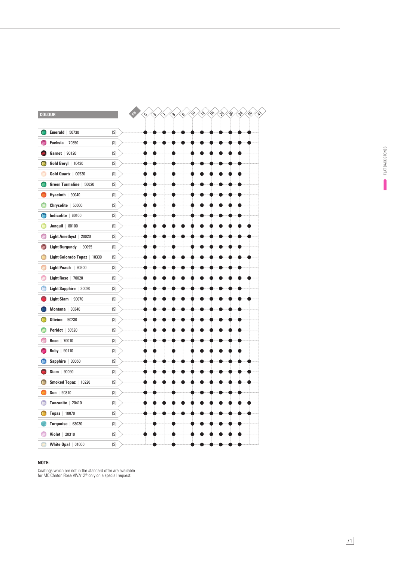| <b>Emerald</b> $  50730$<br>(S)<br><b>Fuchsia</b>   70350<br>(S)<br>Garnet   90120<br>(S)<br>Gold Beryl   10430<br>(S)<br>Gold Quartz   00530<br>(S)<br>Green Turmaline   50020<br>(S)<br>Hyacinth   90040<br>(S)<br>Chrysolite   50000<br>(S)<br>Indicolite   60100<br>(S)<br><b>Jonquil</b>   80100<br>(S)<br>(S)<br>Light Amethyst   20020<br>Light Burgundy   90095<br>(S)<br>Light Colorado Topaz   10330<br>(S)<br>Light Peach $\,$   90300<br>(S)<br>Light Rose   70020<br>(S)<br>Light Sapphire   30020<br>(S)<br>Light Siam   90070<br>(S)<br>Montana   30340<br>(S)<br>Olivine $  50230$<br>(S)<br><b>Peridot</b>   50520<br>(S)<br>Rose   70010<br>(S)<br>Ruby   90110<br>(S)<br>Sapphire   30050<br>(S)<br>$Siam$   90090<br>(S)<br>Smoked Topaz   10220<br>(S)<br>$Sun$   $90310$<br>(S)<br>Tanzanite   20410<br>(S)<br><b>Topaz</b>   10070<br>(S)<br>(S)<br>Turquoise   63030<br><b>Violet</b>   20310<br>(S)<br>White $0$ pal $  01000$<br>(S) | COLOUR | િ<br>্ঠ | $\mathcal{S}$<br>Λ | D<br>$\mathcal{S}$ | 56<br>$\sim$ | W.<br>B<br>$\mathbf{e}^{\mathbf{e}}$ | g,<br>op |
|----------------------------------------------------------------------------------------------------------------------------------------------------------------------------------------------------------------------------------------------------------------------------------------------------------------------------------------------------------------------------------------------------------------------------------------------------------------------------------------------------------------------------------------------------------------------------------------------------------------------------------------------------------------------------------------------------------------------------------------------------------------------------------------------------------------------------------------------------------------------------------------------------------------------------------------------------------------|--------|---------|--------------------|--------------------|--------------|--------------------------------------|----------|
|                                                                                                                                                                                                                                                                                                                                                                                                                                                                                                                                                                                                                                                                                                                                                                                                                                                                                                                                                                |        |         |                    |                    |              |                                      |          |
|                                                                                                                                                                                                                                                                                                                                                                                                                                                                                                                                                                                                                                                                                                                                                                                                                                                                                                                                                                |        |         |                    |                    |              |                                      |          |
|                                                                                                                                                                                                                                                                                                                                                                                                                                                                                                                                                                                                                                                                                                                                                                                                                                                                                                                                                                |        |         |                    |                    |              |                                      |          |
|                                                                                                                                                                                                                                                                                                                                                                                                                                                                                                                                                                                                                                                                                                                                                                                                                                                                                                                                                                |        |         |                    |                    |              |                                      |          |
|                                                                                                                                                                                                                                                                                                                                                                                                                                                                                                                                                                                                                                                                                                                                                                                                                                                                                                                                                                |        |         |                    |                    |              |                                      |          |
|                                                                                                                                                                                                                                                                                                                                                                                                                                                                                                                                                                                                                                                                                                                                                                                                                                                                                                                                                                |        |         |                    |                    |              |                                      |          |
|                                                                                                                                                                                                                                                                                                                                                                                                                                                                                                                                                                                                                                                                                                                                                                                                                                                                                                                                                                |        |         |                    |                    |              |                                      |          |
|                                                                                                                                                                                                                                                                                                                                                                                                                                                                                                                                                                                                                                                                                                                                                                                                                                                                                                                                                                |        |         |                    |                    |              |                                      |          |
|                                                                                                                                                                                                                                                                                                                                                                                                                                                                                                                                                                                                                                                                                                                                                                                                                                                                                                                                                                |        |         |                    |                    |              |                                      |          |
|                                                                                                                                                                                                                                                                                                                                                                                                                                                                                                                                                                                                                                                                                                                                                                                                                                                                                                                                                                |        |         |                    |                    |              |                                      |          |
|                                                                                                                                                                                                                                                                                                                                                                                                                                                                                                                                                                                                                                                                                                                                                                                                                                                                                                                                                                |        |         |                    |                    |              |                                      |          |
|                                                                                                                                                                                                                                                                                                                                                                                                                                                                                                                                                                                                                                                                                                                                                                                                                                                                                                                                                                |        |         |                    |                    |              |                                      |          |
|                                                                                                                                                                                                                                                                                                                                                                                                                                                                                                                                                                                                                                                                                                                                                                                                                                                                                                                                                                |        |         |                    |                    |              |                                      |          |
|                                                                                                                                                                                                                                                                                                                                                                                                                                                                                                                                                                                                                                                                                                                                                                                                                                                                                                                                                                |        |         |                    |                    |              |                                      |          |
|                                                                                                                                                                                                                                                                                                                                                                                                                                                                                                                                                                                                                                                                                                                                                                                                                                                                                                                                                                |        |         |                    |                    |              |                                      |          |
|                                                                                                                                                                                                                                                                                                                                                                                                                                                                                                                                                                                                                                                                                                                                                                                                                                                                                                                                                                |        |         |                    |                    |              |                                      |          |
|                                                                                                                                                                                                                                                                                                                                                                                                                                                                                                                                                                                                                                                                                                                                                                                                                                                                                                                                                                |        |         |                    |                    |              |                                      |          |
|                                                                                                                                                                                                                                                                                                                                                                                                                                                                                                                                                                                                                                                                                                                                                                                                                                                                                                                                                                |        |         |                    |                    |              |                                      |          |
|                                                                                                                                                                                                                                                                                                                                                                                                                                                                                                                                                                                                                                                                                                                                                                                                                                                                                                                                                                |        |         |                    |                    |              |                                      |          |
|                                                                                                                                                                                                                                                                                                                                                                                                                                                                                                                                                                                                                                                                                                                                                                                                                                                                                                                                                                |        |         |                    |                    |              |                                      |          |
|                                                                                                                                                                                                                                                                                                                                                                                                                                                                                                                                                                                                                                                                                                                                                                                                                                                                                                                                                                |        |         |                    |                    |              |                                      |          |
|                                                                                                                                                                                                                                                                                                                                                                                                                                                                                                                                                                                                                                                                                                                                                                                                                                                                                                                                                                |        |         |                    |                    |              |                                      |          |
|                                                                                                                                                                                                                                                                                                                                                                                                                                                                                                                                                                                                                                                                                                                                                                                                                                                                                                                                                                |        |         |                    |                    |              |                                      |          |
|                                                                                                                                                                                                                                                                                                                                                                                                                                                                                                                                                                                                                                                                                                                                                                                                                                                                                                                                                                |        |         |                    |                    |              |                                      |          |
|                                                                                                                                                                                                                                                                                                                                                                                                                                                                                                                                                                                                                                                                                                                                                                                                                                                                                                                                                                |        |         |                    |                    |              |                                      |          |
|                                                                                                                                                                                                                                                                                                                                                                                                                                                                                                                                                                                                                                                                                                                                                                                                                                                                                                                                                                |        |         |                    |                    |              |                                      |          |
|                                                                                                                                                                                                                                                                                                                                                                                                                                                                                                                                                                                                                                                                                                                                                                                                                                                                                                                                                                |        |         |                    |                    |              |                                      |          |
|                                                                                                                                                                                                                                                                                                                                                                                                                                                                                                                                                                                                                                                                                                                                                                                                                                                                                                                                                                |        |         |                    |                    |              |                                      |          |
|                                                                                                                                                                                                                                                                                                                                                                                                                                                                                                                                                                                                                                                                                                                                                                                                                                                                                                                                                                |        |         |                    |                    |              |                                      |          |
|                                                                                                                                                                                                                                                                                                                                                                                                                                                                                                                                                                                                                                                                                                                                                                                                                                                                                                                                                                |        |         |                    |                    |              |                                      |          |
|                                                                                                                                                                                                                                                                                                                                                                                                                                                                                                                                                                                                                                                                                                                                                                                                                                                                                                                                                                |        |         |                    |                    |              |                                      |          |
|                                                                                                                                                                                                                                                                                                                                                                                                                                                                                                                                                                                                                                                                                                                                                                                                                                                                                                                                                                |        |         |                    |                    |              |                                      |          |

#### **NOTE:**

Coatings which are not in the standard offer are available for MC Chaton Rose VIVA12® only on a special request.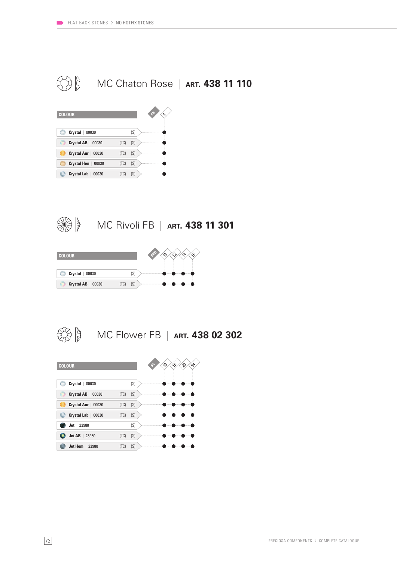





MC Rivoli FB | **ART. 438 11 301**





MC Flower FB | **ART. 438 02 302**

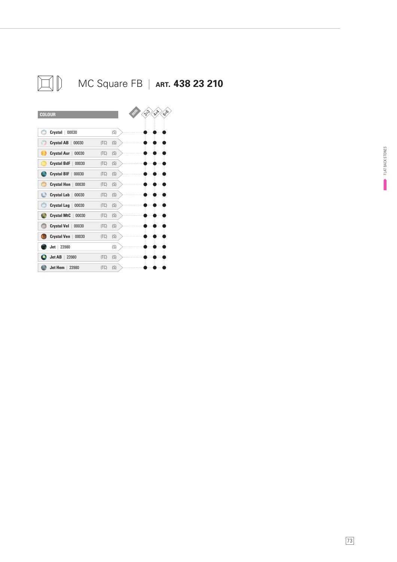

**Jet AB** | 23980 (TC) (S) **Jet Hem** | 23980 (TC) (S)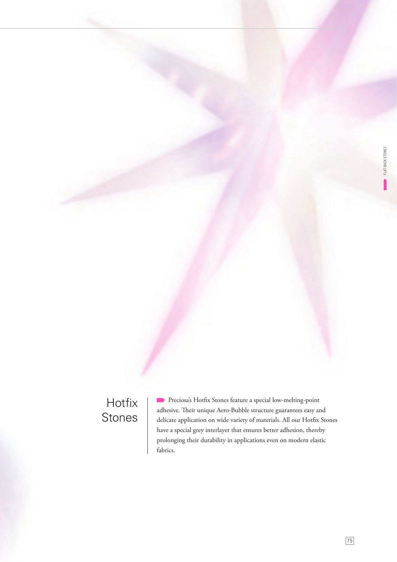## Hotfix Stones

Preciosa's Hotfix Stones feature a special low-melting-point adhesive. Their unique Aero-Bubble structure guarantees easy and delicate application on wide variety of materials. All our Hotfix Stones have a special grey interlayer that ensures better adhesion, thereby prolonging their durability in applications even on modern elastic fabrics.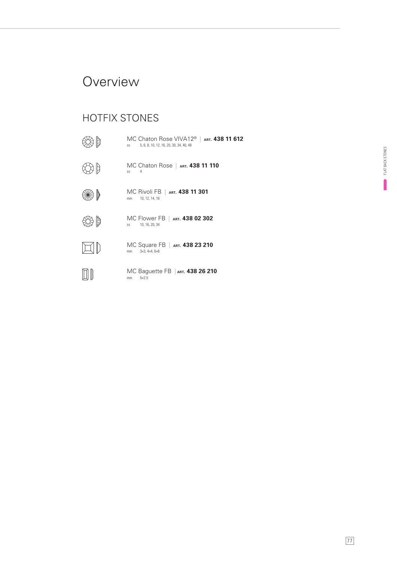### **Overview**

### HOTFIX STONES

| МС Chaton Rose VIVA12 <sup>®</sup>   ART. <b>438 11 612</b><br>5, 6, 8, 10, 12, 16, 20, 30, 34, 40, 48<br>SS |
|--------------------------------------------------------------------------------------------------------------|
| MC Chaton Rose   ART. 438 11 110<br>SS<br>4                                                                  |
| MC Rivoli FB   art <b>. 438 11 301</b><br>10, 12, 14, 16<br>mm                                               |
| MC Flower FB   ART. <b>438 02 302</b><br>10, 16, 20, 34<br>SS                                                |
| МС Square FB   ART. <b>438 23 210</b><br>$3\times3$ , $4\times4$ , $6\times6$<br>mm                          |
| MC Baguette FB   ART. 438 26 210<br>$5\times2.5$<br>mm                                                       |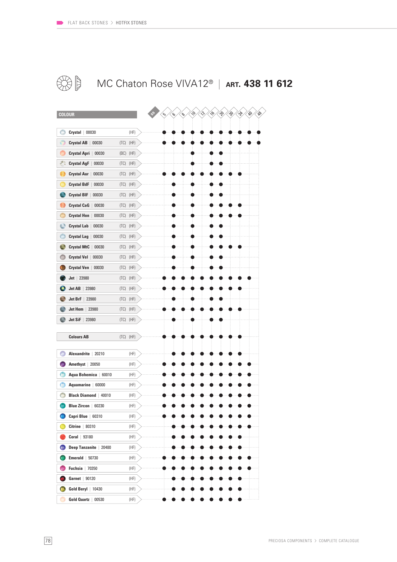

### MC Chaton Rose VIVA12® | **ART. 438 11 612**

| <b>COLOUR</b>                    |              | $\sim$<br>$\mathscr{E}$<br>$\mathscr{A}$<br>≫<br>$\hat{\mathcal{P}}$<br>⊛<br>gs.<br>⊗∕<br>ς<br>$\mathcal{C}$ |
|----------------------------------|--------------|--------------------------------------------------------------------------------------------------------------|
|                                  |              |                                                                                                              |
| Crystal  <br>00030               | (HF)         |                                                                                                              |
| <b>Crystal AB</b><br>00030       | (HF)<br>(TC) |                                                                                                              |
| Crystal Apri  <br>00030          | (BC)<br>(HF) |                                                                                                              |
| Crystal AgF  <br>00030           | (TC)<br>(HF) |                                                                                                              |
| <b>Crystal Aur</b><br>00030      | (HF)<br>(TC) |                                                                                                              |
| <b>Crystal BdF</b><br>00030      | (TC)<br>(HF) |                                                                                                              |
| Crystal BIF  <br>00030           | (HF)<br>(TC) |                                                                                                              |
| <b>Crystal CaG</b><br>00030      | (HF)<br>(TC) |                                                                                                              |
| Crystal Hon<br>00030             | (TC)<br>(HF) |                                                                                                              |
| o<br><b>Crystal Lab</b><br>00030 | (HF)<br>(TC) |                                                                                                              |
| <b>Crystal Lag</b><br>00030      | (HF)<br>(TC) |                                                                                                              |
| <b>Crystal MtC</b><br>00030      | (HF)<br>(TC) |                                                                                                              |
| Crystal Vel  <br>00030           | (HF)<br>(TC) |                                                                                                              |
| Crystal Ven<br>00030             | (TC)<br>(HF) |                                                                                                              |
| 23980<br>Jet                     | (HF)<br>(TC) |                                                                                                              |
| Jet AB<br>23980                  | (HF)<br>(TC) |                                                                                                              |
| Jet BrF<br>23980                 | (HF)<br>(TC) |                                                                                                              |
| <b>Jet Hem</b>   23980           | (HF)<br>(TC) |                                                                                                              |
| $Jet$ SiF<br>23980               | (TC)<br>(HF) |                                                                                                              |
|                                  |              |                                                                                                              |
| <b>Colours AB</b>                | $(TC)$ (HF)  |                                                                                                              |
| Alexandrite<br>20210             | (HF)         |                                                                                                              |
| Amethyst   20050                 | (HF)         |                                                                                                              |
| Aqua Bohemica<br>60010           | (HF)         |                                                                                                              |
| <b>Aquamarine</b><br>60000       | (HF)         |                                                                                                              |
| <b>Black Diamond   40010</b>     | (HF)         |                                                                                                              |
| <b>Blue Zircon</b><br>60230      | (HF)         |                                                                                                              |
| Capri Blue   60310               | (HF)         |                                                                                                              |
| Citrine $ 80310$                 | (HF)         |                                                                                                              |
| Coral  <br>93180                 | (HF)         |                                                                                                              |
| Deep Tanzanite   20480<br>œ      | (HF)         |                                                                                                              |
| <b>Emerald</b> $  50730$         | (HF)         |                                                                                                              |
| <b>Fuchsia</b>   70350           | (HF)         |                                                                                                              |
| Garnet   90120                   | (HF)         |                                                                                                              |
| Gold Beryl   10430               | (HF)         |                                                                                                              |
| Gold Quartz   00530              | (HF)         |                                                                                                              |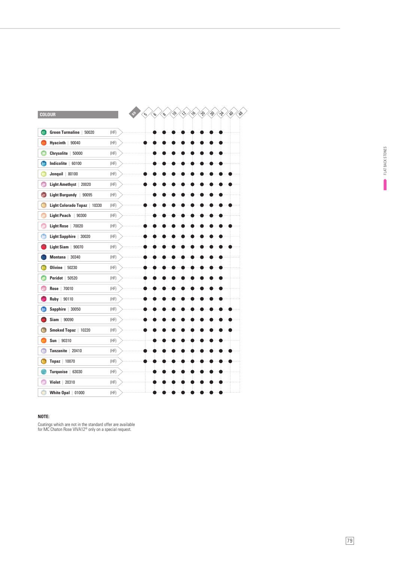|   | <b>COLOUR</b>                  |      |
|---|--------------------------------|------|
|   |                                |      |
|   | Green Turmaline   50020        | (HF) |
|   | Hyacinth $ 90040$              | (HF) |
|   | Chrysolite   50000             | (HF) |
|   | Indicolite  <br>60100          | (HF) |
|   | <b>Jonquil</b>   80100         | (HF) |
|   | Light Amethyst   20020         | (HF) |
| A | <b>Light Burgundy</b><br>90095 | (HF) |
|   | Light Colorado Topaz<br>10330  | (HF) |
|   | Light Peach   90300            | (HF) |
|   | Light Rose   70020             | (HF) |
|   | <b>Light Sapphire</b><br>30020 | (HF) |
|   | Light Siam   90070             | (HF) |
|   | 30340<br>Montana               | (HF) |
|   | Olivine<br>50230               | (HF) |
|   | <b>Peridot</b>   50520         | (HF) |
|   | 70010<br>Rose                  | (HF) |
|   | 90110<br>Ruby                  | (HF) |
|   | Sapphire   30050               | (HF) |
|   | $Siam$   90090                 | (HF) |
|   | Smoked Topaz   10220           | (HF) |
|   | Sun   $90310$                  | (HF) |
|   | <b>Tanzanite</b><br>20410      | (HF) |
|   | <b>Topaz</b>   10070           | (HF) |
|   | Turquoise   63030              | (HF) |
|   | Violet  <br>20310              | (HF) |
|   | White Opal   01000             | (HF) |

#### **NOTE:**

Coatings which are not in the standard offer are available for MC Chaton Rose VIVA12® only on a special request.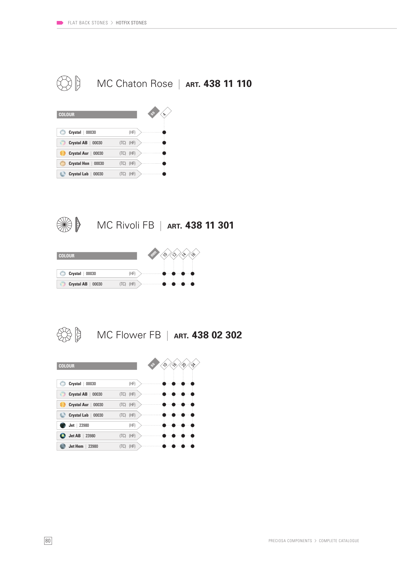





MC Rivoli FB | **ART. 438 11 301**





MC Flower FB | **ART. 438 02 302**

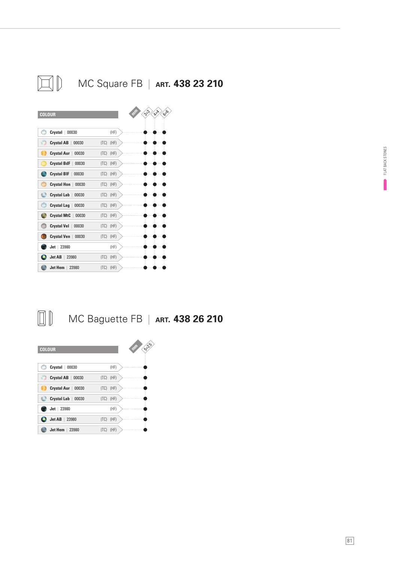

#### $\Box$ MC Baguette FB | **ART. 438 26 210**

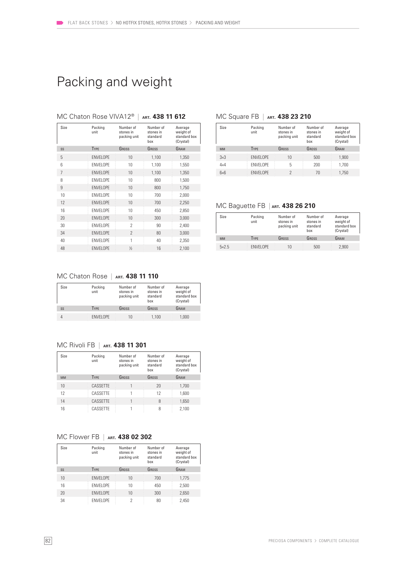### Packing and weight

| Size           | Packing<br>unit  | Number of<br>stones in<br>packing unit | Number of<br>stones in<br>standard<br>box | Average<br>weight of<br>standard box<br>(Crystal) |
|----------------|------------------|----------------------------------------|-------------------------------------------|---------------------------------------------------|
| SS             | TYPE             | GROSS                                  | GROSS                                     | GRAM                                              |
| 5              | <b>ENVELOPE</b>  | 10                                     | 1,100                                     | 1,350                                             |
| 6              | <b>ENVELOPE</b>  | 10                                     | 1,100                                     | 1,550                                             |
| $\overline{7}$ | <b>ENVELOPE</b>  | 10                                     | 1,100                                     | 1,350                                             |
| 8              | <b>ENVELOPE</b>  | 10                                     | 800                                       | 1,500                                             |
| 9              | <b>ENVELOPE</b>  | 10                                     | 800                                       | 1,750                                             |
| 10             | <b>ENVELOPE</b>  | 10                                     | 700                                       | 2,000                                             |
| 12             | <b>ENVELOPE</b>  | 10                                     | 700                                       | 2,250                                             |
| 16             | <b>FNVFI OPF</b> | 10                                     | 450                                       | 2,850                                             |
| 20             | <b>ENVELOPE</b>  | 10                                     | 300                                       | 3,000                                             |
| 30             | <b>FNVFI OPF</b> | 2                                      | 90                                        | 2,400                                             |
| 34             | <b>ENVELOPE</b>  | $\mathcal{P}$                          | 80                                        | 3,000                                             |
| 40             | <b>ENVELOPE</b>  | 1                                      | 40                                        | 2,350                                             |
| 48             | <b>ENVELOPE</b>  | $\frac{1}{2}$                          | 16                                        | 2,100                                             |

#### MC Chaton Rose VIVA12® | **ART. 438 11 612**

#### MC Square FB | ART. **438 23 210**

| Size        | Packing<br>unit  | Number of<br>stones in<br>packing unit | Number of<br>stones in<br>standard<br>hox | Average<br>weight of<br>standard box<br>(Crystal) |
|-------------|------------------|----------------------------------------|-------------------------------------------|---------------------------------------------------|
| <b>MM</b>   | <b>TYPE</b>      | GROSS                                  | GROSS                                     | GRAM                                              |
| $3\times3$  | <b>ENVELOPE</b>  | 10                                     | 500                                       | 1.900                                             |
| $4\times4$  | <b>FNVFI OPF</b> | 5                                      | 200                                       | 1.700                                             |
| $6\times 6$ | <b>ENVELOPE</b>  |                                        | 70                                        | 1.750                                             |

#### MC Baguette FB | **ART. 438 26 210**

| Size      | Packing<br>unit  | Number of<br>stones in<br>packing unit | Number of<br>stones in<br>standard<br>hox | Average<br>weight of<br>standard box<br>(Crystal) |
|-----------|------------------|----------------------------------------|-------------------------------------------|---------------------------------------------------|
| <b>MM</b> | <b>TYPE</b>      | GROSS                                  | GROSS                                     | GRAM                                              |
| $5x^2.5$  | <b>FNVFI OPF</b> | 10                                     | 500                                       | 2,900                                             |

### MC Chaton Rose | **ART. 438 11 110**

| Size | Packing<br>unit  | Number of<br>stones in<br>packing unit | Number of<br>stones in<br>standard<br>box | Average<br>weight of<br>standard box<br>(Crystal) |
|------|------------------|----------------------------------------|-------------------------------------------|---------------------------------------------------|
| SS   | <b>TYPE</b>      | GROSS                                  | GROSS                                     | GRAM                                              |
| 4    | <b>FNVFI OPF</b> | 10                                     | 1.100                                     | 1.000                                             |

#### MC Rivoli FB | **ART. 438 11 301**

| Size      | Packing<br>unit | Number of<br>stones in<br>packing unit | Number of<br>stones in<br>standard<br>hox | Average<br>weight of<br>standard box<br>(Crystal) |
|-----------|-----------------|----------------------------------------|-------------------------------------------|---------------------------------------------------|
| <b>MM</b> | <b>TYPE</b>     | GROSS                                  | GROSS                                     | GRAM                                              |
| 10        | CASSETTE        |                                        | 20                                        | 1,700                                             |
| 12        | CASSETTE        |                                        | 12                                        | 1.600                                             |
| 14        | CASSETTE        |                                        | 8                                         | 1,650                                             |
| 16        | CASSETTE        |                                        | 8                                         | 2.100                                             |

#### MC Flower FB | **ART. 438 02 302**

| Size | Packing<br>unit  | Number of<br>stones in<br>packing unit | Number of<br>stones in<br>standard<br>hox | Average<br>weight of<br>standard box<br>(Crystal) |
|------|------------------|----------------------------------------|-------------------------------------------|---------------------------------------------------|
| SS   | <b>TYPE</b>      | GROSS                                  | GROSS                                     | GRAM                                              |
| 10   | <b>FNVFI OPF</b> | 10                                     | 700                                       | 1.775                                             |
| 16   | <b>FNVFI OPF</b> | 10                                     | 450                                       | 2.500                                             |
| 20   | <b>ENVELOPE</b>  | 10                                     | 300                                       | 2,650                                             |
| 34   | <b>ENVELOPE</b>  | 2                                      | 80                                        | 2.450                                             |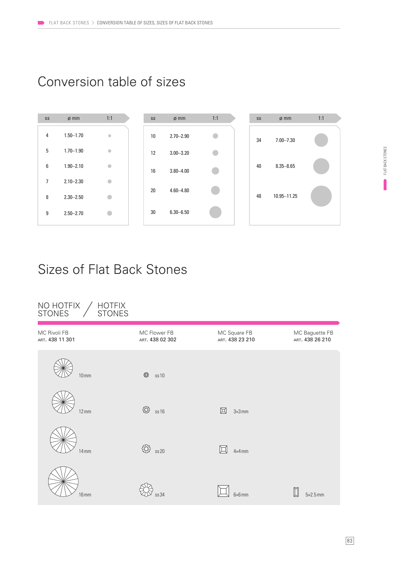### Conversion table of sizes



### Sizes of Flat Back Stones

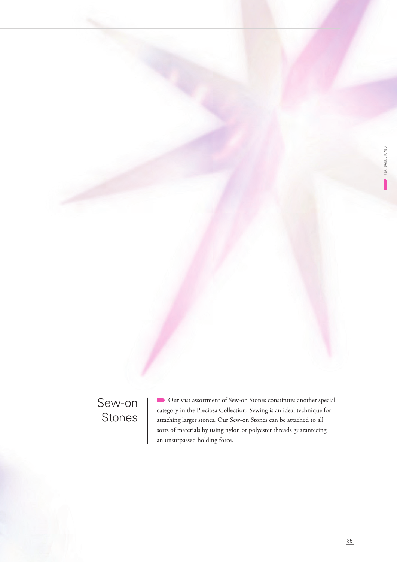## Sew-on Stones

 Our vast assortment of Sew-on Stones constitutes another special category in the Preciosa Collection. Sewing is an ideal technique for attaching larger stones. Our Sew-on Stones can be attached to all sorts of materials by using nylon or polyester threads guaranteeing an unsurpassed holding force.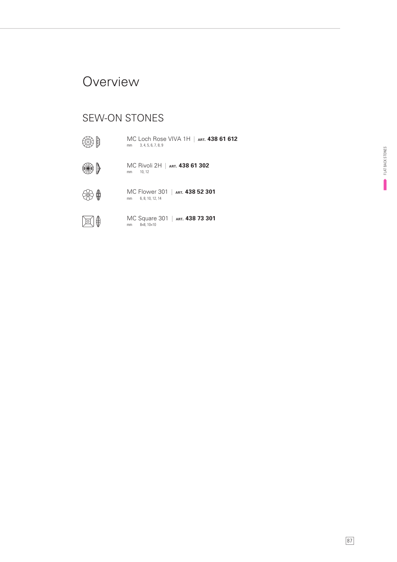### **Overview**

### SEW-ON STONES

明 mm 3, 4, 5, 6, 7, 8, 9 MC Loch Rose VIVA 1H | **ART. 438 61 612** ₩) MC Rivoli 2H | **ART. 438 61 302** mm 10, 12 MC Flower 301 | **ART. 438 52 301**  $\bigoplus$ mm 6, 8, 10, 12, 14 ⊠∯ MC Square 301 | **ART. 438 73 301** mm 8×8, 10×10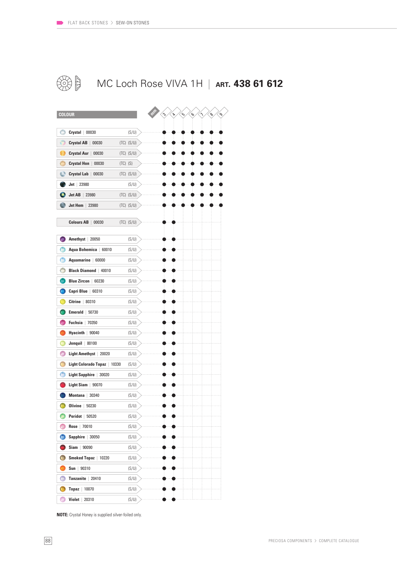

### **SOF** MC Loch Rose VIVA 1H | **ART. 438 61 612**

| <b>COLOUR</b>                   |          |                |  | $\hat{\mathcal{L}}$ | $\triangleright$ | نہ | e, | $\mathcal{S}$ | ∾ |  |
|---------------------------------|----------|----------------|--|---------------------|------------------|----|----|---------------|---|--|
|                                 |          |                |  |                     |                  |    |    |               |   |  |
| O<br>$Crystal$ 00030            |          | (S/U)          |  |                     |                  |    |    |               |   |  |
| o<br><b>Crystal AB</b><br>00030 |          | $(TC)$ $(S/U)$ |  |                     |                  |    |    |               |   |  |
| Crystal Aur  <br>00030          |          | $(TC)$ $(S/U)$ |  |                     |                  |    |    |               |   |  |
| Crystal Hon   00030             | (TC) (S) |                |  |                     |                  |    |    |               |   |  |
| Crystal Lab<br>00030            |          | $(TC)$ $(S/U)$ |  |                     |                  |    |    |               |   |  |
| $Jet$   23980                   |          | (S/U)          |  |                     |                  |    |    |               |   |  |
| $Jet$ AB<br>23980               |          | $(TC)$ $(S/U)$ |  |                     |                  |    |    |               |   |  |
| Jet Hem<br>23980                |          | $(TC)$ $(S/U)$ |  |                     |                  |    |    |               |   |  |
|                                 |          |                |  |                     |                  |    |    |               |   |  |
| <b>Colours AB</b><br>00030      |          | $(TC)$ $(S/U)$ |  |                     |                  |    |    |               |   |  |
| Amethyst   20050                |          | (S/U)          |  |                     |                  |    |    |               |   |  |
| Aqua Bohemica<br>60010          |          | (S/U)          |  |                     |                  |    |    |               |   |  |
| Aquamarine   60000              |          | (S/U)          |  |                     |                  |    |    |               |   |  |
| <b>Black Diamond</b><br>40010   |          |                |  |                     |                  |    |    |               |   |  |
| <b>Blue Zircon</b>              |          | (S/U)          |  |                     |                  |    |    |               |   |  |
| 60230                           |          | (S/U)          |  |                     |                  |    |    |               |   |  |
| Capri Blue   60310              |          | (S/U)          |  |                     |                  |    |    |               |   |  |
| <b>Citrine</b><br>80310         |          | (S/U)          |  |                     |                  |    |    |               |   |  |
| Emerald  <br>50730              |          | (S/U)          |  |                     |                  |    |    |               |   |  |
| Fuchsia  <br>70350              |          | (S/U)          |  |                     |                  |    |    |               |   |  |
| Hyacinth   90040                |          | (S/U)          |  |                     |                  |    |    |               |   |  |
| Jonquil<br>80100                |          | (S/U)          |  |                     |                  |    |    |               |   |  |
| Light Amethyst<br>20020         |          | (S/U)          |  |                     |                  |    |    |               |   |  |
| Light Colorado Topaz<br>10330   |          | (S/U)          |  |                     |                  |    |    |               |   |  |
| <b>Light Sapphire</b><br>30020  |          | (S/U)          |  |                     |                  |    |    |               |   |  |
| Light Siam  <br>90070           |          | (S/U)          |  |                     |                  |    |    |               |   |  |
| 30340<br>Montana                |          | (S/U)          |  |                     |                  |    |    |               |   |  |
| <b>Olivine</b><br>50230         |          | (S/U)          |  |                     |                  |    |    |               |   |  |
| <b>Peridot</b>   50520          |          | (S/U)          |  |                     |                  |    |    |               |   |  |
| Rose   70010                    |          | (S/U)          |  |                     |                  |    |    |               |   |  |
| Sapphire   30050<br>o           |          | (S/U)          |  |                     |                  |    |    |               |   |  |
| $Siam$ 90090                    |          | (S/U)          |  |                     |                  |    |    |               |   |  |
| O<br>Smoked Topaz   10220       |          | (S/U)          |  |                     |                  |    |    |               |   |  |
| Sun   $90310$                   |          | (S/U)          |  |                     |                  |    |    |               |   |  |
| Tanzanite   20410               |          | (S/U)          |  |                     |                  |    |    |               |   |  |
| Topaz<br>10070                  |          | (S/U)          |  |                     |                  |    |    |               |   |  |
| Violet<br>20310                 |          | (S/U)          |  |                     |                  |    |    |               |   |  |

**NOTE:** Crystal Honey is supplied silver-foiled only.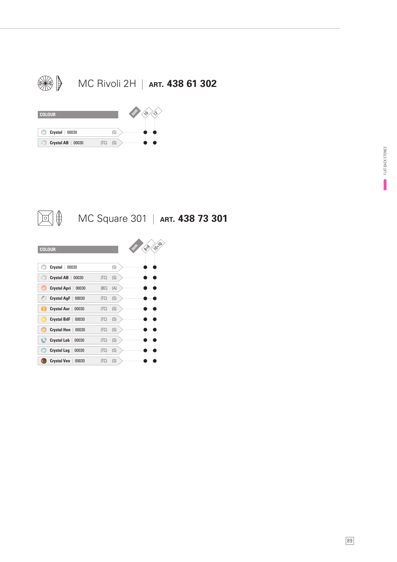





MC Square 301 | **ART. 438 73 301**

| <b>COLOUR</b>                |      |     | 10%<br>8-8 |
|------------------------------|------|-----|------------|
| Crystal<br>00030             |      | (S) |            |
| <b>Crystal AB</b><br>00030   | (TC) | (S) |            |
| <b>Crystal Apri</b><br>00030 | (BC) | (A) |            |
| <b>Crystal AgF</b><br>00030  | (TC) | (S) |            |
| <b>Crystal Aur</b><br>00030  | (TC) | (S) |            |
| <b>Crystal BdF</b><br>00030  | (TC) | (S) |            |
| <b>Crystal Hon</b><br>00030  | (TC) | (S) |            |
| <b>Crystal Lab</b><br>00030  | (TC) | (S) |            |
| <b>Crystal Lag</b><br>00030  | (TC) | (S) |            |
| <b>Crystal Ven</b><br>00030  | (TC) | (S) |            |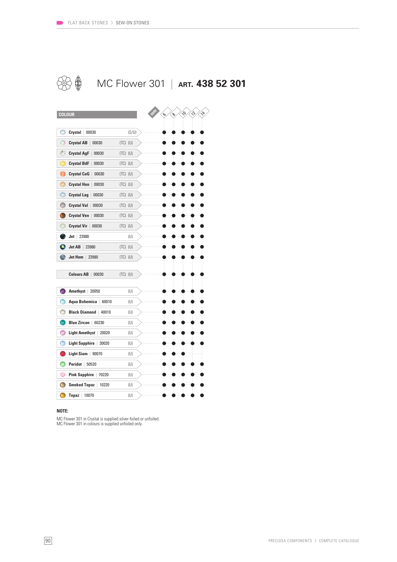

### MC Flower 301 | **ART. 438 52 301**

| <b>COLOUR</b>                       |              | $\mathcal{O}$<br>ዔ | Ş<br>1<br>Ý, |
|-------------------------------------|--------------|--------------------|--------------|
|                                     |              |                    |              |
| $\bullet$<br>$Crystal$ 00030        | (S/U)        |                    |              |
| Ô<br><b>Crystal AB</b><br>00030     | $(TC)$ $(U)$ |                    |              |
| ÷<br><b>Crystal AgF</b><br>00030    | $(TC)$ $(U)$ |                    |              |
| Crystal BdF<br>00030                | $(TC)$ $(U)$ |                    |              |
| D<br><b>Crystal CaG</b><br>00030    | $(TC)$ $(U)$ |                    |              |
| O<br><b>Crystal Hon</b><br>00030    | $(TC)$ $(U)$ |                    |              |
| Ô<br><b>Crystal Lag</b><br>00030    | $(TC)$ $(U)$ |                    |              |
| Ô<br><b>Crystal Val</b><br>00030    | $(TC)$ $(U)$ |                    |              |
| O<br><b>Crystal Ven</b><br>00030    | $(TC)$ $(U)$ |                    |              |
| <b>Crystal Vir</b><br>00030         | $(TC)$ $(U)$ |                    |              |
| $Jet$   23980                       | (U)          |                    |              |
| Jet AB<br>23980                     | $(TC)$ (U)   |                    |              |
| Jet Hem<br>23980                    | $(TC)$ $(U)$ |                    |              |
|                                     |              |                    |              |
| <b>Colours AB</b><br>00030          | $(TC)$ $(U)$ |                    |              |
| Amethyst   20050                    | (U)          |                    |              |
| Ô<br>Aqua Bohemica<br>60010         | (U)          |                    |              |
| <b>Black Diamond</b><br>40010       | (U)          |                    |              |
| <b>Blue Zircon</b><br>60230         | (U)          |                    |              |
| Ô<br>Light Amethyst<br>20020        | (U)          |                    |              |
| Φ<br><b>Light Sapphire</b><br>30020 | (U)          |                    |              |
| Light Siam<br>90070                 | (U)          |                    |              |
| O<br>Peridot  <br>50520             | (U)          |                    |              |
| ۰<br><b>Pink Sapphire</b><br>70220  | (U)          |                    |              |
| G<br><b>Smoked Topaz</b><br>10220   | (U)          |                    |              |
| O<br>Topaz  <br>10070               | (U)          |                    |              |

#### **NOTE:**

MC Flower 301 in Crystal is supplied silver-foiled or unfoiled. MC Flower 301 in colours is supplied unfoiled only.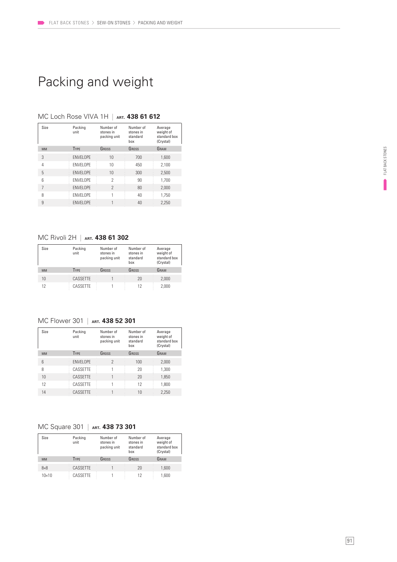### Packing and weight

| Size      | Packing<br>unit  | Number of<br>stones in<br>packing unit | Number of<br>stones in<br>standard<br>box | Average<br>weight of<br>standard box<br>(Crystal) |
|-----------|------------------|----------------------------------------|-------------------------------------------|---------------------------------------------------|
| <b>MM</b> | <b>TYPE</b>      | GROSS                                  | GROSS                                     | GRAM                                              |
| 3         | <b>ENVELOPE</b>  | 10                                     | 700                                       | 1.600                                             |
| 4         | <b>FNVFI OPF</b> | 10                                     | 450                                       | 2,100                                             |
| 5         | <b>ENVELOPE</b>  | 10                                     | 300                                       | 2,500                                             |
| 6         | <b>FNVFI OPF</b> | 2                                      | 90                                        | 1,700                                             |
| 7         | <b>ENVELOPE</b>  | $\mathcal{P}$                          | 80                                        | 2,000                                             |
| 8         | <b>FNVFI OPF</b> |                                        | 40                                        | 1,750                                             |
| 9         | <b>ENVELOPE</b>  |                                        | 40                                        | 2.250                                             |

#### MC Loch Rose VIVA 1H | **ART. 438 61 612**

#### MC Rivoli 2H | **ART. 438 61 302**

| Size      | Packing<br>unit | Number of<br>stones in<br>packing unit | Number of<br>stones in<br>standard<br>hox | Average<br>weight of<br>standard box<br>(Crystal) |
|-----------|-----------------|----------------------------------------|-------------------------------------------|---------------------------------------------------|
| <b>MM</b> | <b>TYPE</b>     | GROSS                                  | GROSS                                     | GRAM                                              |
| 10        | CASSETTE        |                                        | 20                                        | 2,000                                             |
| 12        | CASSETTE        |                                        | 12                                        | 2.000                                             |

#### MC Flower 301 | **ART. 438 52 301**

| Size            | Packing<br>unit | Number of<br>stones in<br>packing unit | Number of<br>stones in<br>standard<br>hox | Average<br>weight of<br>standard box<br>(Crystal) |
|-----------------|-----------------|----------------------------------------|-------------------------------------------|---------------------------------------------------|
| <b>MM</b>       | <b>TYPE</b>     | GROSS                                  | GROSS                                     | GRAM                                              |
| $6\overline{6}$ | <b>ENVELOPE</b> | $\mathcal{P}$                          | 100                                       | 2,000                                             |
| 8               | CASSETTE        |                                        | 20                                        | 1.300                                             |
| 10              | CASSETTE        |                                        | 20                                        | 1,850                                             |
| 12              | CASSETTE        |                                        | 12                                        | 1.800                                             |
| 14              | CASSETTE        |                                        | 10                                        | 2.250                                             |

#### MC Square 301 | **ART. 438 73 301**

| Size         | Packing<br>unit | Number of<br>stones in<br>packing unit | Number of<br>stones in<br>standard<br>hox | Average<br>weight of<br>standard box<br>(Crystal) |
|--------------|-----------------|----------------------------------------|-------------------------------------------|---------------------------------------------------|
| <b>MM</b>    | <b>TYPE</b>     | GROSS                                  | GROSS                                     | GRAM                                              |
| $8\times8$   | CASSETTE        |                                        | 20                                        | 1.600                                             |
| $10\times10$ | CASSETTE        |                                        | 12                                        | 1.600                                             |